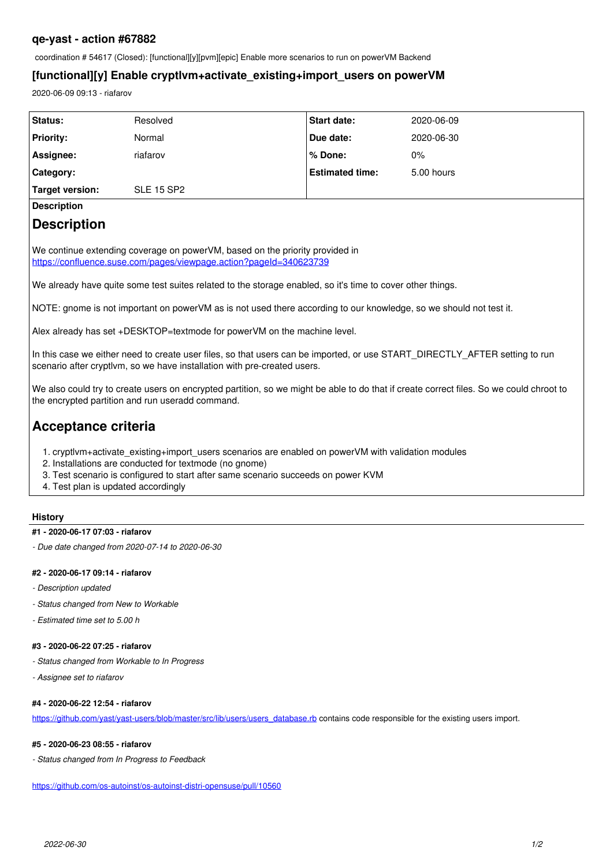## **qe-yast - action #67882**

coordination # 54617 (Closed): [functional][y][pvm][epic] Enable more scenarios to run on powerVM Backend

## **[functional][y] Enable cryptlvm+activate\_existing+import\_users on powerVM**

2020-06-09 09:13 - riafarov

| Status:            | Resolved          | <b>Start date:</b>     | 2020-06-09 |
|--------------------|-------------------|------------------------|------------|
| <b>Priority:</b>   | Normal            | Due date:              | 2020-06-30 |
| Assignee:          | riafarov          | % Done:                | $0\%$      |
| Category:          |                   | <b>Estimated time:</b> | 5.00 hours |
| Target version:    | <b>SLE 15 SP2</b> |                        |            |
| <b>Description</b> |                   |                        |            |
| __<br>.            |                   |                        |            |

# **Description**

We continue extending coverage on powerVM, based on the priority provided in <https://confluence.suse.com/pages/viewpage.action?pageId=340623739>

We already have quite some test suites related to the storage enabled, so it's time to cover other things.

NOTE: gnome is not important on powerVM as is not used there according to our knowledge, so we should not test it.

Alex already has set +DESKTOP=textmode for powerVM on the machine level.

In this case we either need to create user files, so that users can be imported, or use START\_DIRECTLY\_AFTER setting to run scenario after cryptlvm, so we have installation with pre-created users.

We also could try to create users on encrypted partition, so we might be able to do that if create correct files. So we could chroot to the encrypted partition and run useradd command.

# **Acceptance criteria**

- 1. cryptlym+activate existing+import users scenarios are enabled on powerVM with validation modules
- 2. Installations are conducted for textmode (no gnome)
- 3. Test scenario is configured to start after same scenario succeeds on power KVM
- 4. Test plan is updated accordingly

### **History**

#### **#1 - 2020-06-17 07:03 - riafarov**

*- Due date changed from 2020-07-14 to 2020-06-30*

#### **#2 - 2020-06-17 09:14 - riafarov**

- *Description updated*
- *Status changed from New to Workable*
- *Estimated time set to 5.00 h*

#### **#3 - 2020-06-22 07:25 - riafarov**

- *Status changed from Workable to In Progress*
- *Assignee set to riafarov*

## **#4 - 2020-06-22 12:54 - riafarov**

[https://github.com/yast/yast-users/blob/master/src/lib/users/users\\_database.rb](https://github.com/yast/yast-users/blob/master/src/lib/users/users_database.rb) contains code responsible for the existing users import.

#### **#5 - 2020-06-23 08:55 - riafarov**

*- Status changed from In Progress to Feedback*

<https://github.com/os-autoinst/os-autoinst-distri-opensuse/pull/10560>